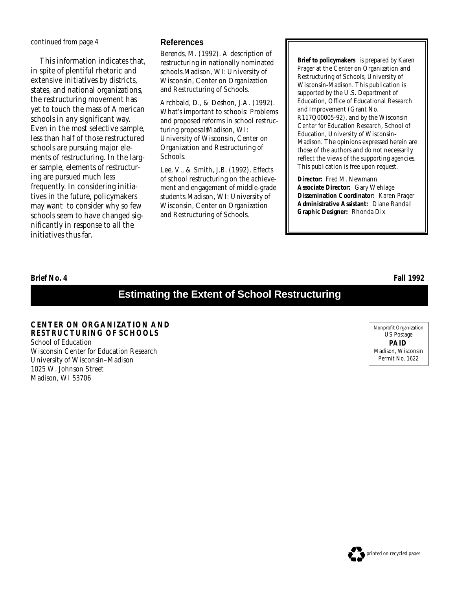*continued from page 4*

This information indicates that, in spite of plentiful rhetoric and extensive initiatives by districts, states, and national organizations, the restructuring movement has yet to touch the mass of American schools in any significant way. Even in the most selective sample, less than half of those restructured schools are pursuing major elements of restructuring. In the larger sample, elements of restructuring are pursued much less frequently. In considering initiatives in the future, policymakers may want to consider why so few schools seem to have changed significantly in response to all the initiatives thus far.

#### **References**

Berends, M. (1992). *A description of restructuring in nationally nominated schools.* Madison, WI: University of Wisconsin, Center on Organization and Restructuring of Schools.

Archbald, D., & Deshon, J.A. (1992). *What's important to schools: Problems and proposed reforms in school restructuring proposals.*Madison, WI: University of Wisconsin, Center on Organization and Restructuring of Schools.

Lee, V., & Smith, J.B. (1992). *Effects of school restructuring on the achievement and engagement of middle-grade students.*Madison, WI: University of Wisconsin, Center on Organization and Restructuring of Schools.

**Brief to policymakers** is prepared by Karen Prager at the Center on Organization and Restructuring of Schools, University of Wisconsin-Madison. This publication is supported by the U.S. Department of Education, Office of Educational Research and Improvement (Grant No. R117Q00005-92), and by the Wisconsin Center for Education Research, School of Education, University of Wisconsin-Madison. The opinions expressed herein are those of the authors and do not necessarily reflect the views of the supporting agencies. This publication is free upon request.

**Director:** Fred M. Newmann **Associate Director:** Gary Wehlage **Dissemination Coordinator:** Karen Prager **Administrative Assistant:** Diane Randall **Graphic Designer:** Rhonda Dix

**Brief No. 4 Fall 1992**

# **Estimating the Extent of School Restructuring**

**CENTER ON ORGANIZATION AND RESTRUCTURING OF SCHOOLS** School of Education Wisconsin Center for Education Research University of Wisconsin–Madison 1025 W. Johnson Street Madison, WI 53706

Nonprofit Organization US Postage **PAID** Madison, Wisconsin Permit No. 1622

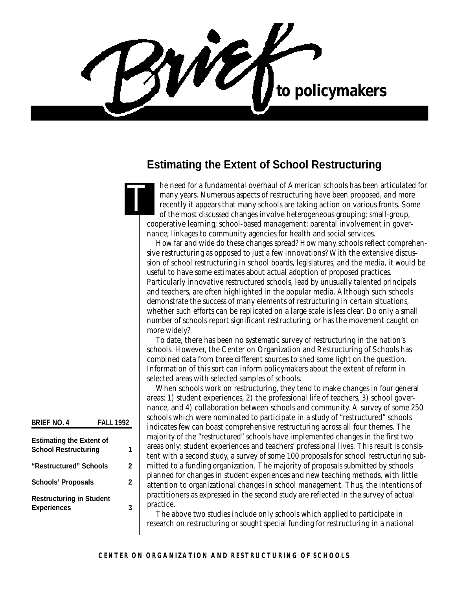WO to policymakers

# **Estimating the Extent of School Restructuring**

he need for a fundamental overhaul of American schools has been articulated for many years. Numerous aspects of restructuring have been proposed, and more recently it appears that many schools are taking action on various fronts. Some of the most discussed changes involve heterogeneous grouping; small-group, cooperative learning; school-based management; parental involvement in governance; linkages to community agencies for health and social services. **T** 

How far and wide do these changes spread? How many schools reflect comprehensive restructuring as opposed to just a few innovations? With the extensive discussion of school restructuring in school boards, legislatures, and the media, it would be useful to have some estimates about actual adoption of proposed practices. Particularly innovative restructured schools, lead by unusually talented principals and teachers, are often highlighted in the popular media. Although such schools demonstrate the success of many elements of restructuring in certain situations, whether such efforts can be replicated on a large scale is less clear. Do only a small number of schools report significant restructuring, or has the movement caught on more widely?

To date, there has been no systematic survey of restructuring in the nation's schools. However, the Center on Organization and Restructuring of Schools has combined data from three different sources to shed some light on the question. Information of this sort can inform policymakers about the extent of reform in selected areas with selected samples of schools.

When schools work on restructuring, they tend to make changes in four general areas: 1) student experiences, 2) the professional life of teachers, 3) school governance, and 4) collaboration between schools and community. A survey of some 250 schools which were nominated to participate in a study of "restructured" schools indicates few can boast comprehensive restructuring across all four themes. The majority of the "restructured" schools have implemented changes in the first two areas only: student experiences and teachers' professional lives. This result is consistent with a second study, a survey of some 100 proposals for school restructuring submitted to a funding organization. The majority of proposals submitted by schools planned for changes in student experiences and new teaching methods, with little attention to organizational changes in school management. Thus, the intentions of practitioners as expressed in the second study are reflected in the survey of actual practice.

The above two studies include only schools which applied to participate in research on restructuring or sought special funding for restructuring in a national

#### **BRIEF NO. 4 FALL 1992**

| <b>Estimating the Extent of</b> |   |
|---------------------------------|---|
| <b>School Restructuring</b>     |   |
| "Restructured" Schools          | 2 |
| <b>Schools' Proposals</b>       | 2 |
| <b>Restructuring in Student</b> |   |
| <b>Experiences</b>              | 3 |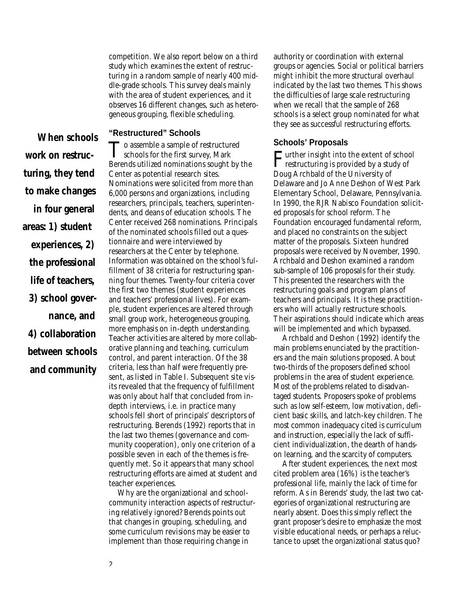competition. We also report below on a third study which examines the extent of restructuring in a random sample of nearly 400 middle-grade schools. This survey deals mainly with the area of student experiences, and it observes 16 different changes, such as heterogeneous grouping, flexible scheduling.

**"Restructured" Schools**

*When schools work on restructuring, they tend to make changes in four general areas: 1) student experiences, 2) the professional life of teachers, 3) school governance, and 4) collaboration between schools and community*

To assemble a sample of restructure of schools for the first survey, Mark To assemble a sample of restructured Berends utilized nominations sought by the Center as potential research sites. Nominations were solicited from more than 6,000 persons and organizations, including researchers, principals, teachers, superintendents, and deans of education schools. The Center received 268 nominations. Principals of the nominated schools filled out a questionnaire and were interviewed by researchers at the Center by telephone. Information was obtained on the school's fulfillment of 38 criteria for restructuring spanning four themes. Twenty-four criteria cover the first two themes (student experiences and teachers' professional lives). For example, student experiences are altered through small group work, heterogeneous grouping, more emphasis on in-depth understanding. Teacher activities are altered by more collaborative planning and teaching, curriculum control, and parent interaction. Of the 38 criteria, less than half were frequently present, as listed in Table I. Subsequent site visits revealed that the frequency of fulfillment was only about half that concluded from indepth interviews, i.e. in practice many schools fell short of principals' descriptors of restructuring. Berends (1992) reports that in the last two themes (governance and community cooperation), only one criterion of a possible seven in each of the themes is frequently met. So it appears that many school restructuring efforts are aimed at student and teacher experiences.

Why are the organizational and schoolcommunity interaction aspects of restructuring relatively ignored? Berends points out that changes in grouping, scheduling, and some curriculum revisions may be easier to implement than those requiring change in

authority or coordination with external groups or agencies. Social or political barriers might inhibit the more structural overhaul indicated by the last two themes. This shows the difficulties of large scale restructuring when we recall that the sample of 268 schools is a select group nominated for what they see as successful restructuring efforts.

### **Schools' Proposals**

Further insight into the extent of school<br>restructuring is provided by a study of restructuring is provided by a study of Doug Archbald of the University of Delaware and Jo Anne Deshon of West Park Elementary School, Delaware, Pennsylvania. In 1990, the RJR Nabisco Foundation solicited proposals for school reform. The Foundation encouraged fundamental reform, and placed no constraints on the subject matter of the proposals. Sixteen hundred proposals were received by November, 1990. Archbald and Deshon examined a random sub-sample of 106 proposals for their study. This presented the researchers with the restructuring goals and program plans of teachers and principals. It is these practitioners who will actually restructure schools. Their aspirations should indicate which areas will be implemented and which bypassed.

Archbald and Deshon (1992) identify the main problems enunciated by the practitioners and the main solutions proposed. About two-thirds of the proposers defined school problems in the area of student experience. Most of the problems related to disadvantaged students. Proposers spoke of problems such as low self-esteem, low motivation, deficient basic skills, and latch-key children. The most common inadequacy cited is curriculum and instruction, especially the lack of sufficient individualization, the dearth of handson learning, and the scarcity of computers.

After student experiences, the next most cited problem area (16%) is the teacher's professional life, mainly the lack of time for reform. As in Berends' study, the last two categories of organizational restructuring are nearly absent. Does this simply reflect the grant proposer's desire to emphasize the most visible educational needs, or perhaps a reluctance to upset the organizational status quo?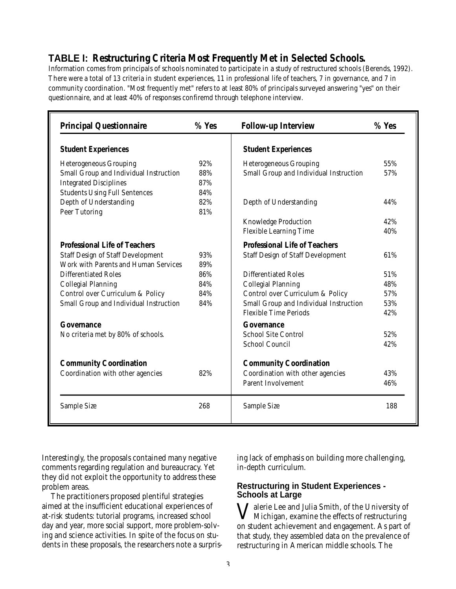## **TABLE I: Restructuring Criteria Most Frequently Met in Selected Schools.**

Information comes from principals of schools nominated to participate in a study of restructured schools (Berends, 1992). There were a total of 13 criteria in student experiences, 11 in professional life of teachers, 7 in governance, and 7 in community coordination. "Most frequently met" refers to at least 80% of principals surveyed answering "yes" on their questionnaire, and at least 40% of responses confiremd through telephone interview.

| <b>Principal Questionnaire</b>           | $%$ Yes | <b>Follow-up Interview</b>               | $%$ Yes |
|------------------------------------------|---------|------------------------------------------|---------|
| <b>Student Experiences</b>               |         | <b>Student Experiences</b>               |         |
| <b>Heterogeneous Grouping</b>            | 92%     | <b>Heterogeneous Grouping</b>            | 55%     |
| Small Group and Individual Instruction   | 88%     | Small Group and Individual Instruction   | 57%     |
| <b>Integrated Disciplines</b>            | 87%     |                                          |         |
| <b>Students Using Full Sentences</b>     | 84%     |                                          |         |
| Depth of Understanding                   | 82%     | Depth of Understanding                   | 44%     |
| Peer Tutoring                            | 81%     |                                          |         |
|                                          |         | Knowledge Production                     | 42%     |
|                                          |         | <b>Flexible Learning Time</b>            | 40%     |
| Professional Life of Teachers            |         | Professional Life of Teachers            |         |
| <b>Staff Design of Staff Development</b> | 93%     | <b>Staff Design of Staff Development</b> | 61%     |
| Work with Parents and Human Services     | 89%     |                                          |         |
| <b>Differentiated Roles</b>              | 86%     | <b>Differentiated Roles</b>              | 51%     |
| <b>Collegial Planning</b>                | 84%     | <b>Collegial Planning</b>                | 48%     |
| Control over Curriculum & Policy         | 84%     | Control over Curriculum & Policy         | 57%     |
| Small Group and Individual Instruction   | 84%     | Small Group and Individual Instruction   | 53%     |
|                                          |         | <b>Flexible Time Periods</b>             | 42%     |
| Governance                               |         | Governance                               |         |
| No criteria met by 80% of schools.       |         | <b>School Site Control</b>               | 52%     |
|                                          |         | <b>School Council</b>                    | 42%     |
| <b>Community Coordination</b>            |         | <b>Community Coordination</b>            |         |
| Coordination with other agencies         | 82%     | Coordination with other agencies         | 43%     |
|                                          |         | <b>Parent Involvement</b>                | 46%     |
| Sample Size                              | 268     | Sample Size                              | 188     |

Interestingly, the proposals contained many negative comments regarding regulation and bureaucracy. Yet they did not exploit the opportunity to address these problem areas.

The practitioners proposed plentiful strategies aimed at the insufficient educational experiences of at-risk students: tutorial programs, increased school day and year, more social support, more problem-solving and science activities. In spite of the focus on students in these proposals, the researchers note a surprising lack of emphasis on building more challenging, in-depth curriculum.

#### **Restructuring in Student Experiences - Schools at Large**

V alerie Lee and Julia Smith, of the University of Michigan, examine the effects of restructuring on student achievement and engagement. As part of that study, they assembled data on the prevalence of restructuring in American middle schools. The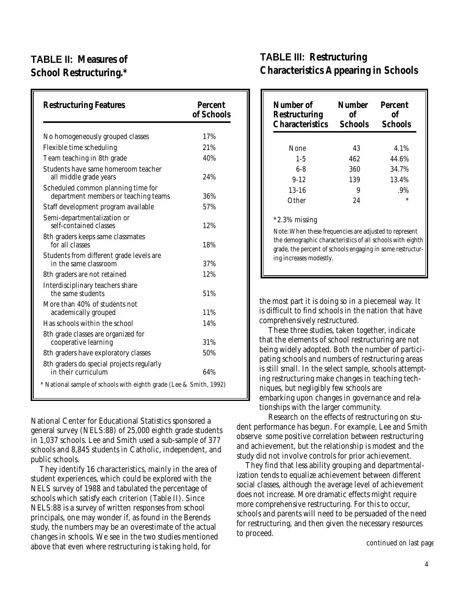# **TABLE II: Measures of School Restructuring.\***

| <b>Restructuring Features</b>                                              | Percent<br>of Schools |
|----------------------------------------------------------------------------|-----------------------|
| No homogeneously grouped classes                                           | 17%                   |
| Flexible time scheduling                                                   | 21%                   |
| Team teaching in 8th grade                                                 | 40%                   |
| Students have same homeroom teacher<br>all middle grade years              | 24%                   |
| Scheduled common planning time for<br>department members or teaching teams | 36%                   |
| Staff development program available                                        | 57%                   |
| Semi-departmentalization or<br>self-contained classes                      | 12%                   |
| 8th graders keeps same classmates<br>for all classes                       | 18%                   |
| Students from different grade levels are<br>in the same classroom          | 37%                   |
| 8th graders are not retained                                               | 12%                   |
| Interdisciplinary teachers share<br>the same students                      | 51%                   |
| More than 40% of students not<br>academically grouped                      | 11%                   |
| Has schools within the school                                              | 14%                   |
| 8th grade classes are organized for<br>cooperative learning                | 31%                   |
| 8th graders have exploratory classes                                       | 50%                   |
| 8th graders do special projects regularly<br>in their curriculum           | 64%                   |
| * National sample of schools with eighth grade (Lee & Smith, 1992)         |                       |

National Center for Educational Statistics sponsored a general survey (NELS:88) of 25,000 eighth grade students in 1,037 schools. Lee and Smith used a sub-sample of 377 schools and 8,845 students in Catholic, independent, and public schools.

They identify 16 characteristics, mainly in the area of student experiences, which could be explored with the NELS survey of 1988 and tabulated the percentage of schools which satisfy each criterion (Table II). Since NELS:88 is a survey of written responses from school principals, one may wonder if, as found in the Berends study, the numbers may be an overestimate of the actual changes in schools. We see in the two studies mentioned above that even where restructuring is taking hold, for

## **TABLE III: Restructuring Characteristics Appearing in Schools**

| Number of<br>Restructuring<br><b>Characteristics</b> | Number<br>οf<br><b>Schools</b> | Percent<br>Ωf<br><b>Schools</b> |
|------------------------------------------------------|--------------------------------|---------------------------------|
| None                                                 | 43                             | 4.1%                            |
| $1 - 5$                                              | 462                            | 44.6%                           |
| $6-8$                                                | 360                            | 34.7%                           |
| $9 - 12$                                             | 139                            | 13.4%                           |
| $13 - 16$                                            | 9                              | .9%                             |
| Other                                                | 24                             | $\ast$                          |

#### \*2.3% missing

*Note:* When these frequencies are adjusted to represent the demographic characteristics of all schools with eighth grade, the percent of schools engaging in some restructuring increases modestly.

the most part it is doing so in a piecemeal way. It is difficult to find schools in the nation that have comprehensively restructured.

These three studies, taken together, indicate that the elements of school restructuring are not being widely adopted. Both the number of participating schools and numbers of restructuring areas is still small. In the select sample, schools attempting restructuring make changes in teaching techniques, but negligibly few schools are embarking upon changes in governance and relationships with the larger community.

Research on the effects of restructuring on student performance has begun. For example, Lee and Smith observe some positive correlation between restructuring and achievement, but the relationship is modest and the study did not involve controls for prior achievement.

They find that less ability grouping and departmentalization tends to equalize achievement between different social classes, although the average level of achievement does not increase. More dramatic effects might require more comprehensive restructuring. For this to occur, schools and parents will need to be persuaded of the need for restructuring, and then given the necessary resources to proceed.

*continued on last page*